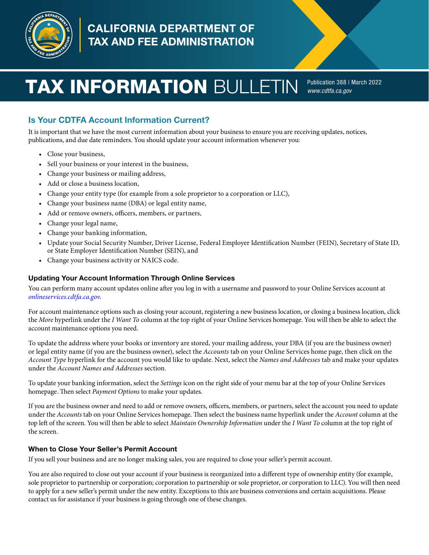

# **CALIFORNIA DEPARTMENT OF** TAX AND FEE ADMINISTRATION

# **TAX INFORMATION** BULLETIN **Publication 388 | March 2022**

*[www.cdtfa.ca.gov](http://www.cdtfa.ca.gov)*

# Is Your CDTFA Account Information Current?

It is important that we have the most current information about your business to ensure you are receiving updates, notices, publications, and due date reminders. You should update your account information whenever you:

- Close your business,
- Sell your business or your interest in the business,
- Change your business or mailing address,
- Add or close a business location,
- Change your entity type (for example from a sole proprietor to a corporation or LLC),
- Change your business name (DBA) or legal entity name,
- Add or remove owners, officers, members, or partners,
- Change your legal name,
- Change your banking information,
- Update your Social Security Number, Driver License, Federal Employer Identification Number (FEIN), Secretary of State ID, or State Employer Identification Number (SEIN), and
- Change your business activity or NAICS code.

#### Updating Your Account Information Through Online Services

You can perform many account updates online after you log in with a username and password to your Online Services account at *[onlineservices.cdtfa.ca.gov](https://onlineservices.cdtfa.ca.gov/_/)*.

For account maintenance options such as closing your account, registering a new business location, or closing a business location, click the *More* hyperlink under the *I Want To* column at the top right of your Online Services homepage. You will then be able to select the account maintenance options you need.

To update the address where your books or inventory are stored, your mailing address, your DBA (if you are the business owner) or legal entity name (if you are the business owner), select the *Accounts* tab on your Online Services home page, then click on the *Account Type* hyperlink for the account you would like to update. Next, select the *Names and Addresses* tab and make your updates under the *Account Names and Addresses* section.

To update your banking information, select the *Settings* icon on the right side of your menu bar at the top of your Online Services homepage. Then select *Payment Options* to make your updates.

If you are the business owner and need to add or remove owners, officers, members, or partners, select the account you need to update under the *Accounts* tab on your Online Services homepage. Then select the business name hyperlink under the *Account* column at the top left of the screen. You will then be able to select *Maintain Ownership Information* under the *I Want To* column at the top right of the screen.

#### When to Close Your Seller's Permit Account

If you sell your business and are no longer making sales, you are required to close your seller's permit account.

You are also required to close out your account if your business is reorganized into a different type of ownership entity (for example, sole proprietor to partnership or corporation; corporation to partnership or sole proprietor, or corporation to LLC). You will then need to apply for a new seller's permit under the new entity. Exceptions to this are business conversions and certain acquisitions. Please contact us for assistance if your business is going through one of these changes.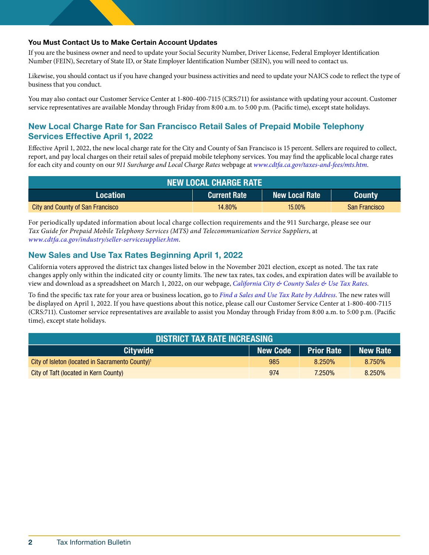#### You Must Contact Us to Make Certain Account Updates

If you are the business owner and need to update your Social Security Number, Driver License, Federal Employer Identification Number (FEIN), Secretary of State ID, or State Employer Identification Number (SEIN), you will need to contact us.

Likewise, you should contact us if you have changed your business activities and need to update your NAICS code to reflect the type of business that you conduct.

You may also contact our Customer Service Center at 1-800-400-7115 (CRS:711) for assistance with updating your account. Customer service representatives are available Monday through Friday from 8:00 a.m. to 5:00 p.m. (Pacific time), except state holidays.

# New Local Charge Rate for San Francisco Retail Sales of Prepaid Mobile Telephony Services Effective April 1, 2022

Effective April 1, 2022, the new local charge rate for the City and County of San Francisco is 15 percent. Sellers are required to collect, report, and pay local charges on their retail sales of prepaid mobile telephony services. You may find the applicable local charge rates for each city and county on our *911 Surcharge and Local Charge Rates* webpage at *[www.cdtfa.ca.gov/taxes-and-fees/mts.htm](https://www.cdtfa.ca.gov/taxes-and-fees/mts.htm)*.

| <b>NEW LOCAL CHARGE RATE</b>     |                     |                           |                      |  |  |  |
|----------------------------------|---------------------|---------------------------|----------------------|--|--|--|
| Location                         | <b>Current Rate</b> | l New Local Rate <b>1</b> | <b>County</b>        |  |  |  |
| City and County of San Francisco | $14.80\%$           | $15.00\%$                 | <b>San Francisco</b> |  |  |  |

For periodically updated information about local charge collection requirements and the 911 Surcharge, please see our *Tax Guide for Prepaid Mobile Telephony Services (MTS) and Telecommunication Service Suppliers*, at *[www.cdtfa.ca.gov/industry/seller-servicesupplier.htm](https://www.cdtfa.ca.gov/industry/seller-servicesupplier.htm)*.

## New Sales and Use Tax Rates Beginning April 1, 2022

California voters approved the district tax changes listed below in the November 2021 election, except as noted. The tax rate changes apply only within the indicated city or county limits. The new tax rates, tax codes, and expiration dates will be available to view and download as a spreadsheet on March 1, 2022, on our webpage, *[California City & County Sales & Use Tax Rates](http://www.cdtfa.ca.gov/taxes-and-fees/sales-use-tax-rates.htm)*.

To find the specific tax rate for your area or business location, go to *[Find a Sales and Use Tax Rate by Address](https://maps.cdtfa.ca.gov/)*. The new rates will be displayed on April 1, 2022. If you have questions about this notice, please call our Customer Service Center at 1-800-400-7115 (CRS:711). Customer service representatives are available to assist you Monday through Friday from 8:00 a.m. to 5:00 p.m. (Pacific time), except state holidays.

| <b>DISTRICT TAX RATE INCREASING</b>                         |                 |                   |                 |  |  |  |
|-------------------------------------------------------------|-----------------|-------------------|-----------------|--|--|--|
| <b>Citywide</b>                                             | <b>New Code</b> | <b>Prior Rate</b> | <b>New Rate</b> |  |  |  |
| City of Isleton (located in Sacramento County) <sup>1</sup> | 985             | 8.250%            | 8.750%          |  |  |  |
| City of Taft (located in Kern County)                       | 974             | 7.250%            | 8.250%          |  |  |  |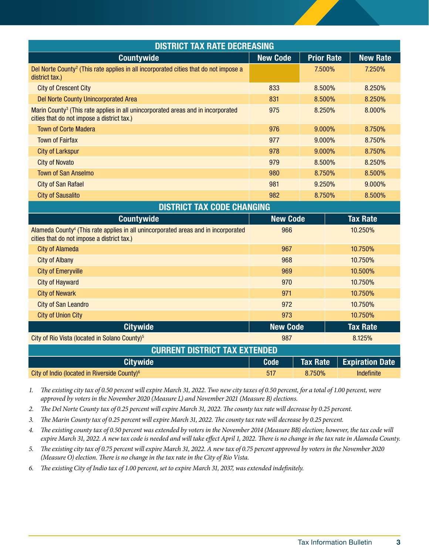| <b>DISTRICT TAX RATE DECREASING</b>                                                                                                          |                 |                   |                        |  |  |  |
|----------------------------------------------------------------------------------------------------------------------------------------------|-----------------|-------------------|------------------------|--|--|--|
| <b>Countywide</b>                                                                                                                            | <b>New Code</b> | <b>Prior Rate</b> | <b>New Rate</b>        |  |  |  |
| Del Norte County <sup>2</sup> (This rate applies in all incorporated cities that do not impose a<br>district tax.)                           |                 | 7.500%            | 7.250%                 |  |  |  |
| <b>City of Crescent City</b>                                                                                                                 | 833<br>8.500%   |                   | 8.250%                 |  |  |  |
| <b>Del Norte County Unincorporated Area</b>                                                                                                  | 831<br>8.500%   |                   | 8.250%                 |  |  |  |
| Marin County <sup>3</sup> (This rate applies in all unincorporated areas and in incorporated<br>cities that do not impose a district tax.)   | 975             | 8.250%            | 8.000%                 |  |  |  |
| <b>Town of Corte Madera</b><br>976                                                                                                           |                 | 9.000%            | 8.750%                 |  |  |  |
| <b>Town of Fairfax</b><br>977                                                                                                                |                 | 9.000%            | 8.750%                 |  |  |  |
| <b>City of Larkspur</b>                                                                                                                      | 978             | 9.000%            | 8.750%                 |  |  |  |
| <b>City of Novato</b>                                                                                                                        | 979<br>8.500%   |                   | 8.250%                 |  |  |  |
| <b>Town of San Anselmo</b>                                                                                                                   | 980<br>8.750%   |                   | 8.500%                 |  |  |  |
| <b>City of San Rafael</b>                                                                                                                    | 981<br>9.250%   |                   | 9.000%                 |  |  |  |
| <b>City of Sausalito</b>                                                                                                                     | 982<br>8.750%   |                   | 8.500%                 |  |  |  |
| <b>DISTRICT TAX CODE CHANGING</b>                                                                                                            |                 |                   |                        |  |  |  |
| <b>Countywide</b>                                                                                                                            | <b>New Code</b> |                   | <b>Tax Rate</b>        |  |  |  |
| Alameda County <sup>4</sup> (This rate applies in all unincorporated areas and in incorporated<br>cities that do not impose a district tax.) | 966             |                   | 10.250%                |  |  |  |
| <b>City of Alameda</b>                                                                                                                       | 967             |                   | 10.750%                |  |  |  |
| <b>City of Albany</b>                                                                                                                        | 968             |                   | 10.750%                |  |  |  |
| <b>City of Emeryville</b><br>969                                                                                                             |                 |                   | 10.500%                |  |  |  |
| <b>City of Hayward</b>                                                                                                                       | 970             |                   | 10.750%                |  |  |  |
| <b>City of Newark</b>                                                                                                                        | 971             |                   | 10.750%                |  |  |  |
| <b>City of San Leandro</b>                                                                                                                   | 972             |                   | 10.750%                |  |  |  |
| <b>City of Union City</b>                                                                                                                    | 973             |                   | 10.750%                |  |  |  |
| <b>Citywide</b>                                                                                                                              | <b>New Code</b> |                   | <b>Tax Rate</b>        |  |  |  |
| City of Rio Vista (located in Solano County) <sup>5</sup>                                                                                    | 987             |                   | 8.125%                 |  |  |  |
| <b>CURRENT DISTRICT TAX EXTENDED</b>                                                                                                         |                 |                   |                        |  |  |  |
| <b>Citywide</b>                                                                                                                              | <b>Code</b>     | <b>Tax Rate</b>   | <b>Expiration Date</b> |  |  |  |
| City of Indio (located in Riverside County) <sup>6</sup>                                                                                     | 517             | 8.750%            | Indefinite             |  |  |  |

*1. The existing city tax of 0.50 percent will expire March 31, 2022. Two new city taxes of 0.50 percent, for a total of 1.00 percent, were approved by voters in the November 2020 (Measure L) and November 2021 (Measure B) elections.*

*2. The Del Norte County tax of 0.25 percent will expire March 31, 2022. The county tax rate will decrease by 0.25 percent.*

*3. The Marin County tax of 0.25 percent will expire March 31, 2022. The county tax rate will decrease by 0.25 percent.*

*4. The existing county tax of 0.50 percent was extended by voters in the November 2014 (Measure BB) election; however, the tax code will expire March 31, 2022. A new tax code is needed and will take effect April 1, 2022. There is no change in the tax rate in Alameda County.*

*5. The existing city tax of 0.75 percent will expire March 31, 2022. A new tax of 0.75 percent approved by voters in the November 2020 (Measure O) election. There is no change in the tax rate in the City of Rio Vista.*

*6. The existing City of Indio tax of 1.00 percent, set to expire March 31, 2037, was extended indefinitely.*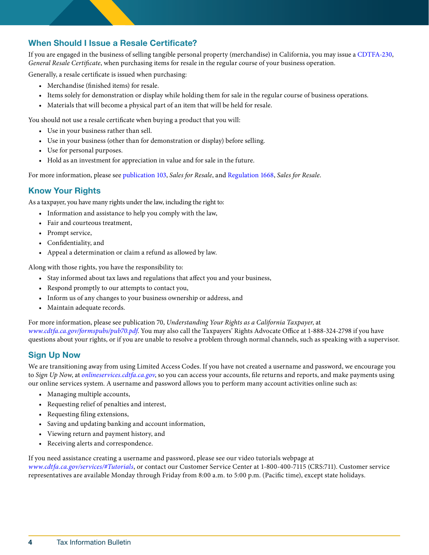# When Should I Issue a Resale Certificate?

If you are engaged in the business of selling tangible personal property (merchandise) in California, you may issue a [CDTFA-230,](https://www.cdtfa.ca.gov/formspubs/cdtfa230.pdf) *General Resale Certificate*, when purchasing items for resale in the regular course of your business operation.

Generally, a resale certificate is issued when purchasing:

- Merchandise (finished items) for resale.
- Items solely for demonstration or display while holding them for sale in the regular course of business operations.
- Materials that will become a physical part of an item that will be held for resale.

You should not use a resale certificate when buying a product that you will:

- Use in your business rather than sell.
- Use in your business (other than for demonstration or display) before selling.
- Use for personal purposes.
- Hold as an investment for appreciation in value and for sale in the future.

For more information, please see [publication 103](https://www.cdtfa.ca.gov/formspubs/pub103/), *Sales for Resale*, and [Regulation 1668,](https://www.cdtfa.ca.gov/lawguides/vol1/sutr/1668.html) *Sales for Resale*.

# Know Your Rights

As a taxpayer, you have many rights under the law, including the right to:

- Information and assistance to help you comply with the law,
- Fair and courteous treatment,
- Prompt service,
- Confidentiality, and
- Appeal a determination or claim a refund as allowed by law.

Along with those rights, you have the responsibility to:

- Stay informed about tax laws and regulations that affect you and your business,
- Respond promptly to our attempts to contact you,
- Inform us of any changes to your business ownership or address, and
- Maintain adequate records.

For more information, please see publication 70, *Understanding Your Rights as a California Taxpayer*, at *[www.cdtfa.ca.gov/formspubs/pub70.pdf](http://www.cdtfa.ca.gov/formspubs/pub70.pdf)*. You may also call the Taxpayers' Rights Advocate Office at 1-888-324-2798 if you have questions about your rights, or if you are unable to resolve a problem through normal channels, such as speaking with a supervisor.

## Sign Up Now

We are transitioning away from using Limited Access Codes. If you have not created a username and password, we encourage you to *Sign Up Now*, at *[onlineservices.cdtfa.ca.gov](https://onlineservices.cdtfa.ca.gov/_/)*, so you can access your accounts, file returns and reports, and make payments using our online services system. A username and password allows you to perform many account activities online such as:

- Managing multiple accounts,
- Requesting relief of penalties and interest,
- Requesting filing extensions,
- Saving and updating banking and account information,
- Viewing return and payment history, and
- Receiving alerts and correspondence.

If you need assistance creating a username and password, please see our video tutorials webpage at *[www.cdtfa.ca.gov/services/#Tutorials](http://www.cdtfa.ca.gov/services/#Tutorials)*, or contact our Customer Service Center at 1-800-400-7115 (CRS:711). Customer service representatives are available Monday through Friday from 8:00 a.m. to 5:00 p.m. (Pacific time), except state holidays.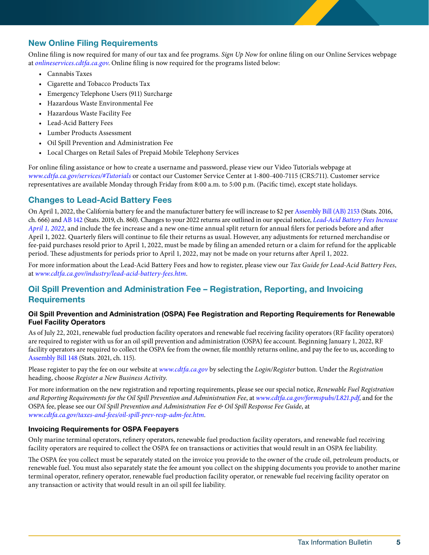# New Online Filing Requirements

Online filing is now required for many of our tax and fee programs. *Sign Up Now* for online filing on our Online Services webpage at *[onlineservices.cdtfa.ca.gov](https://onlineservices.cdtfa.ca.gov/_/)*. Online filing is now required for the programs listed below:

- Cannabis Taxes
- Cigarette and Tobacco Products Tax
- Emergency Telephone Users (911) Surcharge
- Hazardous Waste Environmental Fee
- Hazardous Waste Facility Fee
- Lead-Acid Battery Fees
- Lumber Products Assessment
- Oil Spill Prevention and Administration Fee
- Local Charges on Retail Sales of Prepaid Mobile Telephony Services

For online filing assistance or how to create a username and password, please view our Video Tutorials webpage at *[www.cdtfa.ca.gov/services/#Tutorials](http://www.cdtfa.ca.gov/services/#Tutorials)* or contact our Customer Service Center at 1-800-400-7115 (CRS:711). Customer service representatives are available Monday through Friday from 8:00 a.m. to 5:00 p.m. (Pacific time), except state holidays.

#### Changes to Lead-Acid Battery Fees

On April 1, 2022, the California battery fee and the manufacturer battery fee will increase to \$2 per [Assembly Bill \(AB\) 2153](https://leginfo.legislature.ca.gov/faces/billNavClient.xhtml?bill_id=201520160AB2153) (Stats. 2016, ch. 666) and [AB 142](https://leginfo.legislature.ca.gov/faces/billNavClient.xhtml?bill_id=201920200AB142) (Stats. 2019, ch. 860). Changes to your 2022 returns are outlined in our special notice, *[Lead-Acid Battery Fees Increase](https://www.cdtfa.ca.gov/formspubs/L845.pdf)  [April 1, 2022](https://www.cdtfa.ca.gov/formspubs/L845.pdf)*, and include the fee increase and a new one-time annual split return for annual filers for periods before and after April 1, 2022. Quarterly filers will continue to file their returns as usual. However, any adjustments for returned merchandise or fee-paid purchases resold prior to April 1, 2022, must be made by filing an amended return or a claim for refund for the applicable period. These adjustments for periods prior to April 1, 2022, may not be made on your returns after April 1, 2022.

For more information about the Lead-Acid Battery Fees and how to register, please view our *Tax Guide for Lead-Acid Battery Fees*, at *[www.cdtfa.ca.gov/industry/lead-acid-battery-fees.htm](http://www.cdtfa.ca.gov/industry/lead-acid-battery-fees.htm)*.

## Oil Spill Prevention and Administration Fee – Registration, Reporting, and Invoicing **Requirements**

#### Oil Spill Prevention and Administration (OSPA) Fee Registration and Reporting Requirements for Renewable Fuel Facility Operators

As of July 22, 2021, renewable fuel production facility operators and renewable fuel receiving facility operators (RF facility operators) are required to register with us for an oil spill prevention and administration (OSPA) fee account. Beginning January 1, 2022, RF facility operators are required to collect the OSPA fee from the owner, file monthly returns online, and pay the fee to us, according to [Assembly Bill 148](https://leginfo.legislature.ca.gov/faces/billNavClient.xhtml?bill_id=202120220AB148) (Stats. 2021, ch. 115).

Please register to pay the fee on our website at *[www.cdtfa.ca.gov](http://www.cdtfa.ca.gov/)* by selecting the *Login/Register* button. Under the *Registration* heading, choose *Register a New Business Activity*.

For more information on the new registration and reporting requirements, please see our special notice, *Renewable Fuel Registration and Reporting Requirements for the Oil Spill Prevention and Administration Fee*, at *[www.cdtfa.ca.gov/formspubs/L821.pdf](https://www.cdtfa.ca.gov/formspubs/L821.pdf)*, and for the OSPA fee, please see our *Oil Spill Prevention and Administration Fee & Oil Spill Response Fee Guide*, at *[www.cdtfa.ca.gov/taxes-and-fees/oil-spill-prev-resp-adm-fee.htm](http://www.cdtfa.ca.gov/taxes-and-fees/oil-spill-prev-resp-adm-fee.htm)*.

#### Invoicing Requirements for OSPA Feepayers

Only marine terminal operators, refinery operators, renewable fuel production facility operators, and renewable fuel receiving facility operators are required to collect the OSPA fee on transactions or activities that would result in an OSPA fee liability.

The OSPA fee you collect must be separately stated on the invoice you provide to the owner of the crude oil, petroleum products, or renewable fuel. You must also separately state the fee amount you collect on the shipping documents you provide to another marine terminal operator, refinery operator, renewable fuel production facility operator, or renewable fuel receiving facility operator on any transaction or activity that would result in an oil spill fee liability.